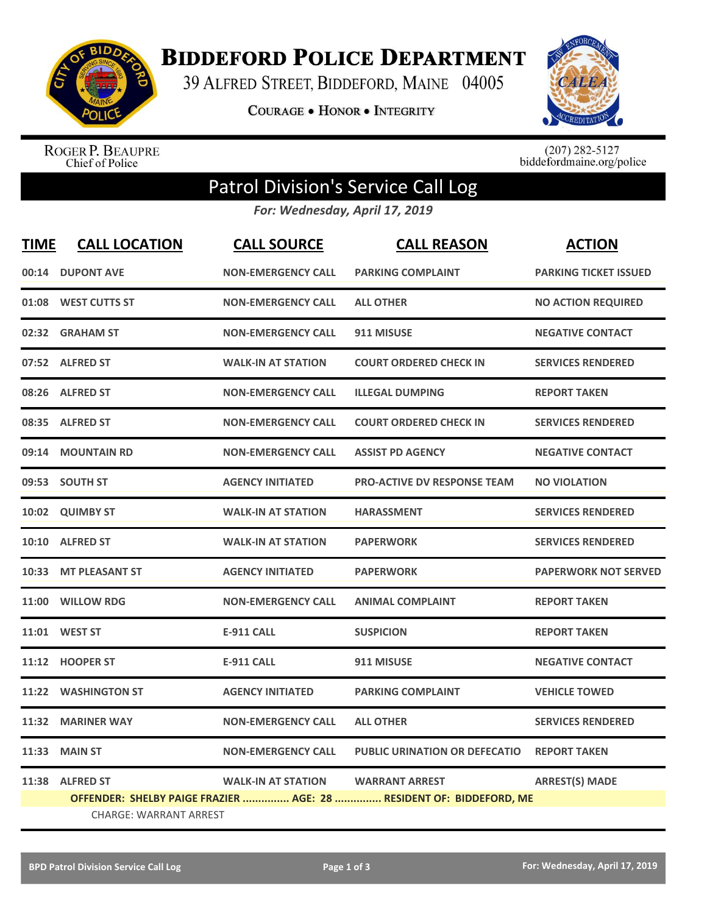

**BIDDEFORD POLICE DEPARTMENT** 

39 ALFRED STREET, BIDDEFORD, MAINE 04005

**COURAGE . HONOR . INTEGRITY** 



ROGER P. BEAUPRE<br>Chief of Police

 $(207)$  282-5127<br>biddefordmaine.org/police

## Patrol Division's Service Call Log

*For: Wednesday, April 17, 2019*

| <b>TIME</b> | <b>CALL LOCATION</b>          | <b>CALL SOURCE</b>        | <b>CALL REASON</b>                                                  | <b>ACTION</b>                |
|-------------|-------------------------------|---------------------------|---------------------------------------------------------------------|------------------------------|
|             | 00:14 DUPONT AVE              | <b>NON-EMERGENCY CALL</b> | <b>PARKING COMPLAINT</b>                                            | <b>PARKING TICKET ISSUED</b> |
|             | 01:08 WEST CUTTS ST           | <b>NON-EMERGENCY CALL</b> | <b>ALL OTHER</b>                                                    | <b>NO ACTION REQUIRED</b>    |
| 02:32       | <b>GRAHAM ST</b>              | <b>NON-EMERGENCY CALL</b> | 911 MISUSE                                                          | <b>NEGATIVE CONTACT</b>      |
|             | 07:52 ALFRED ST               | <b>WALK-IN AT STATION</b> | <b>COURT ORDERED CHECK IN</b>                                       | <b>SERVICES RENDERED</b>     |
| 08:26       | <b>ALFRED ST</b>              | <b>NON-EMERGENCY CALL</b> | <b>ILLEGAL DUMPING</b>                                              | <b>REPORT TAKEN</b>          |
|             | 08:35 ALFRED ST               | <b>NON-EMERGENCY CALL</b> | <b>COURT ORDERED CHECK IN</b>                                       | <b>SERVICES RENDERED</b>     |
| 09:14       | <b>MOUNTAIN RD</b>            | <b>NON-EMERGENCY CALL</b> | <b>ASSIST PD AGENCY</b>                                             | <b>NEGATIVE CONTACT</b>      |
|             | 09:53 SOUTH ST                | <b>AGENCY INITIATED</b>   | <b>PRO-ACTIVE DV RESPONSE TEAM</b>                                  | <b>NO VIOLATION</b>          |
| 10:02       | <b>QUIMBY ST</b>              | <b>WALK-IN AT STATION</b> | <b>HARASSMENT</b>                                                   | <b>SERVICES RENDERED</b>     |
|             | 10:10 ALFRED ST               | <b>WALK-IN AT STATION</b> | <b>PAPERWORK</b>                                                    | <b>SERVICES RENDERED</b>     |
|             | 10:33 MT PLEASANT ST          | <b>AGENCY INITIATED</b>   | <b>PAPERWORK</b>                                                    | <b>PAPERWORK NOT SERVED</b>  |
|             | 11:00 WILLOW RDG              | <b>NON-EMERGENCY CALL</b> | <b>ANIMAL COMPLAINT</b>                                             | <b>REPORT TAKEN</b>          |
|             | 11:01 WEST ST                 | <b>E-911 CALL</b>         | <b>SUSPICION</b>                                                    | <b>REPORT TAKEN</b>          |
| 11:12       | <b>HOOPER ST</b>              | <b>E-911 CALL</b>         | 911 MISUSE                                                          | <b>NEGATIVE CONTACT</b>      |
| 11:22       | <b>WASHINGTON ST</b>          | <b>AGENCY INITIATED</b>   | <b>PARKING COMPLAINT</b>                                            | <b>VEHICLE TOWED</b>         |
| 11:32       | <b>MARINER WAY</b>            | <b>NON-EMERGENCY CALL</b> | <b>ALL OTHER</b>                                                    | <b>SERVICES RENDERED</b>     |
| 11:33       | <b>MAIN ST</b>                | <b>NON-EMERGENCY CALL</b> | <b>PUBLIC URINATION OR DEFECATIO</b>                                | <b>REPORT TAKEN</b>          |
|             | 11:38 ALFRED ST               | <b>WALK-IN AT STATION</b> | <b>WARRANT ARREST</b>                                               | <b>ARREST(S) MADE</b>        |
|             |                               |                           | OFFENDER: SHELBY PAIGE FRAZIER  AGE: 28  RESIDENT OF: BIDDEFORD, ME |                              |
|             | <b>CHARGE: WARRANT ARREST</b> |                           |                                                                     |                              |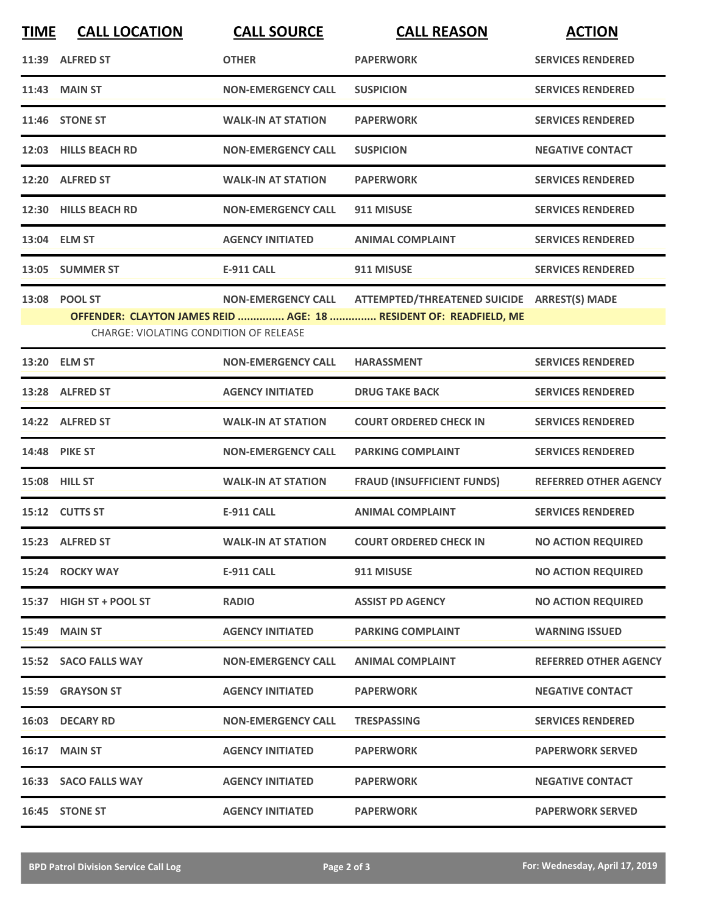| <b>TIME</b> | <b>CALL LOCATION</b>                          | <b>CALL SOURCE</b>        | <b>CALL REASON</b>                                                | <b>ACTION</b>                |
|-------------|-----------------------------------------------|---------------------------|-------------------------------------------------------------------|------------------------------|
|             | 11:39 ALFRED ST                               | <b>OTHER</b>              | <b>PAPERWORK</b>                                                  | <b>SERVICES RENDERED</b>     |
|             | <b>11:43 MAIN ST</b>                          | <b>NON-EMERGENCY CALL</b> | <b>SUSPICION</b>                                                  | <b>SERVICES RENDERED</b>     |
|             | <b>11:46 STONE ST</b>                         | <b>WALK-IN AT STATION</b> | <b>PAPERWORK</b>                                                  | <b>SERVICES RENDERED</b>     |
|             | 12:03 HILLS BEACH RD                          | <b>NON-EMERGENCY CALL</b> | <b>SUSPICION</b>                                                  | <b>NEGATIVE CONTACT</b>      |
|             | 12:20 ALFRED ST                               | <b>WALK-IN AT STATION</b> | <b>PAPERWORK</b>                                                  | <b>SERVICES RENDERED</b>     |
|             | 12:30 HILLS BEACH RD                          | <b>NON-EMERGENCY CALL</b> | 911 MISUSE                                                        | <b>SERVICES RENDERED</b>     |
|             | 13:04 ELM ST                                  | <b>AGENCY INITIATED</b>   | <b>ANIMAL COMPLAINT</b>                                           | <b>SERVICES RENDERED</b>     |
|             | 13:05 SUMMER ST                               | <b>E-911 CALL</b>         | 911 MISUSE                                                        | <b>SERVICES RENDERED</b>     |
|             | 13:08 POOL ST                                 | <b>NON-EMERGENCY CALL</b> | ATTEMPTED/THREATENED SUICIDE ARREST(S) MADE                       |                              |
|             | <b>CHARGE: VIOLATING CONDITION OF RELEASE</b> |                           | OFFENDER: CLAYTON JAMES REID  AGE: 18  RESIDENT OF: READFIELD, ME |                              |
|             | 13:20 ELM ST                                  | <b>NON-EMERGENCY CALL</b> | <b>HARASSMENT</b>                                                 | <b>SERVICES RENDERED</b>     |
|             | 13:28 ALFRED ST                               | <b>AGENCY INITIATED</b>   | <b>DRUG TAKE BACK</b>                                             | <b>SERVICES RENDERED</b>     |
|             | 14:22 ALFRED ST                               | <b>WALK-IN AT STATION</b> | <b>COURT ORDERED CHECK IN</b>                                     | <b>SERVICES RENDERED</b>     |
|             | 14:48 PIKE ST                                 | <b>NON-EMERGENCY CALL</b> | <b>PARKING COMPLAINT</b>                                          | <b>SERVICES RENDERED</b>     |
|             | 15:08 HILL ST                                 | <b>WALK-IN AT STATION</b> | <b>FRAUD (INSUFFICIENT FUNDS)</b>                                 | <b>REFERRED OTHER AGENCY</b> |
|             | 15:12 CUTTS ST                                | <b>E-911 CALL</b>         | <b>ANIMAL COMPLAINT</b>                                           | <b>SERVICES RENDERED</b>     |
|             | 15:23 ALFRED ST                               | <b>WALK-IN AT STATION</b> | <b>COURT ORDERED CHECK IN</b>                                     | <b>NO ACTION REQUIRED</b>    |
|             | 15:24 ROCKY WAY                               | <b>E-911 CALL</b>         | 911 MISUSE                                                        | <b>NO ACTION REQUIRED</b>    |
|             | 15:37 HIGH ST + POOL ST                       | <b>RADIO</b>              | <b>ASSIST PD AGENCY</b>                                           | <b>NO ACTION REQUIRED</b>    |
|             | <b>15:49 MAIN ST</b>                          | <b>AGENCY INITIATED</b>   | <b>PARKING COMPLAINT</b>                                          | <b>WARNING ISSUED</b>        |
|             | 15:52 SACO FALLS WAY                          | <b>NON-EMERGENCY CALL</b> | <b>ANIMAL COMPLAINT</b>                                           | <b>REFERRED OTHER AGENCY</b> |
|             | 15:59 GRAYSON ST                              | <b>AGENCY INITIATED</b>   | <b>PAPERWORK</b>                                                  | <b>NEGATIVE CONTACT</b>      |
|             | 16:03 DECARY RD                               | <b>NON-EMERGENCY CALL</b> | <b>TRESPASSING</b>                                                | <b>SERVICES RENDERED</b>     |
|             | 16:17 MAIN ST                                 | <b>AGENCY INITIATED</b>   | <b>PAPERWORK</b>                                                  | <b>PAPERWORK SERVED</b>      |
|             | 16:33 SACO FALLS WAY                          | <b>AGENCY INITIATED</b>   | <b>PAPERWORK</b>                                                  | <b>NEGATIVE CONTACT</b>      |
|             | 16:45 STONE ST                                | <b>AGENCY INITIATED</b>   | <b>PAPERWORK</b>                                                  | <b>PAPERWORK SERVED</b>      |